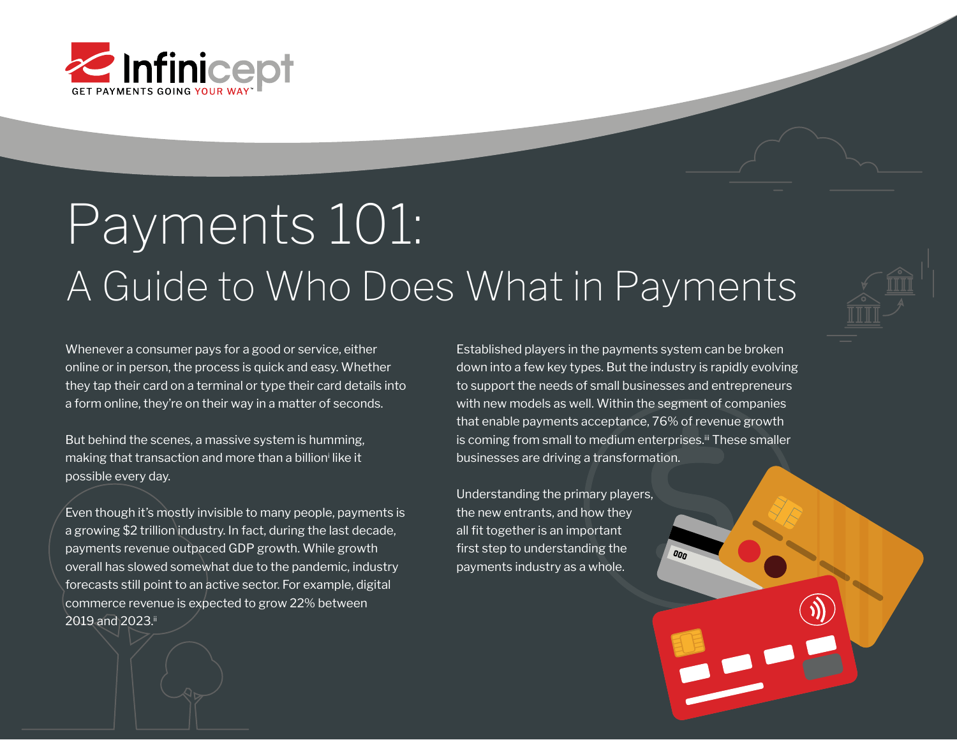

# Payments 101: A Guide to Who Does What in Payments

Whenever a consumer pays for a good or service, either online or in person, the process is quick and easy. Whether they tap their card on a terminal or type their card details into a form online, they're on their way in a matter of seconds.

But behind the scenes, a massive system is humming, making that transaction and more than a billion<sup>;</sup> like it possible every day.

Even though it's mostly invisible to many people, payments is a growing \$2 trillion industry. In fact, during the last decade, payments revenue outpaced GDP growth. While growth overall has slowed somewhat due to the pandemic, industry forecasts still point to an active sector. For example, digital commerce revenue is expected to grow 22% between 2019 and 2023.ii

Established players in the payments system can be broken down into a few key types. But the industry is rapidly evolving to support the needs of small businesses and entrepreneurs with new models as well. Within the segment of companies that enable payments acceptance, 76% of revenue growth is coming from small to medium enterprises.<sup>iii</sup> These smaller businesses are driving a transformation.

 $00n$ 

Understanding the primary players, the new entrants, and how they all fit together is an important first step to understanding the payments industry as a whole.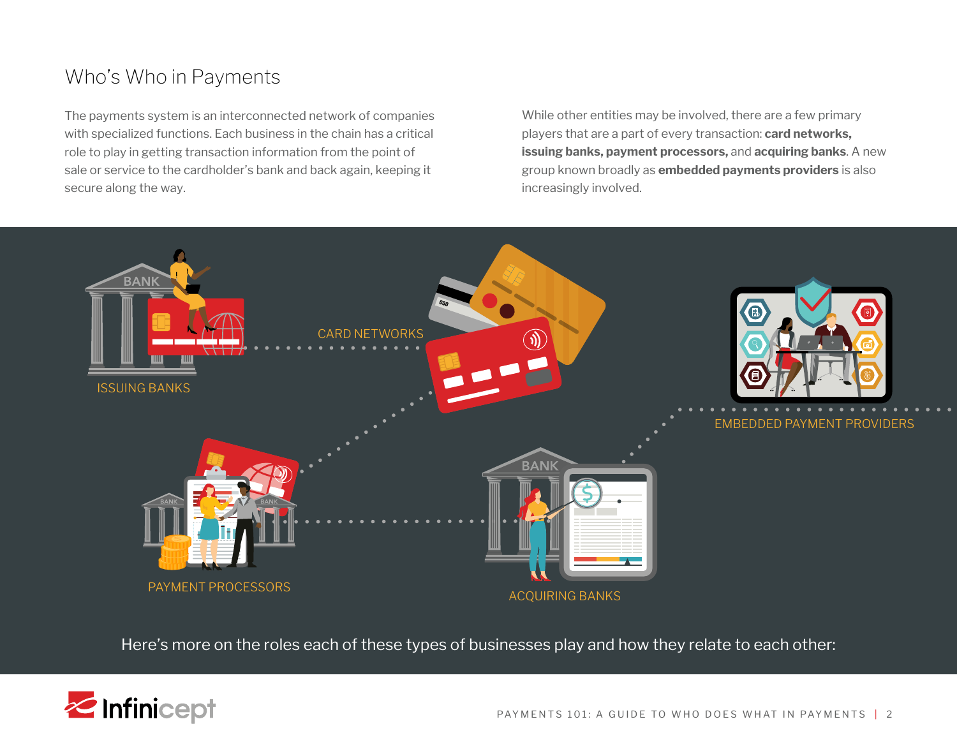## Who's Who in Payments

The payments system is an interconnected network of companies with specialized functions. Each business in the chain has a critical role to play in getting transaction information from the point of sale or service to the cardholder's bank and back again, keeping it secure along the way.

While other entities may be involved, there are a few primary players that are a part of every transaction: **card networks, issuing banks, payment processors,** and **acquiring banks**. A new group known broadly as **embedded payments providers** is also increasingly involved.



Here's more on the roles each of these types of businesses play and how they relate to each other:

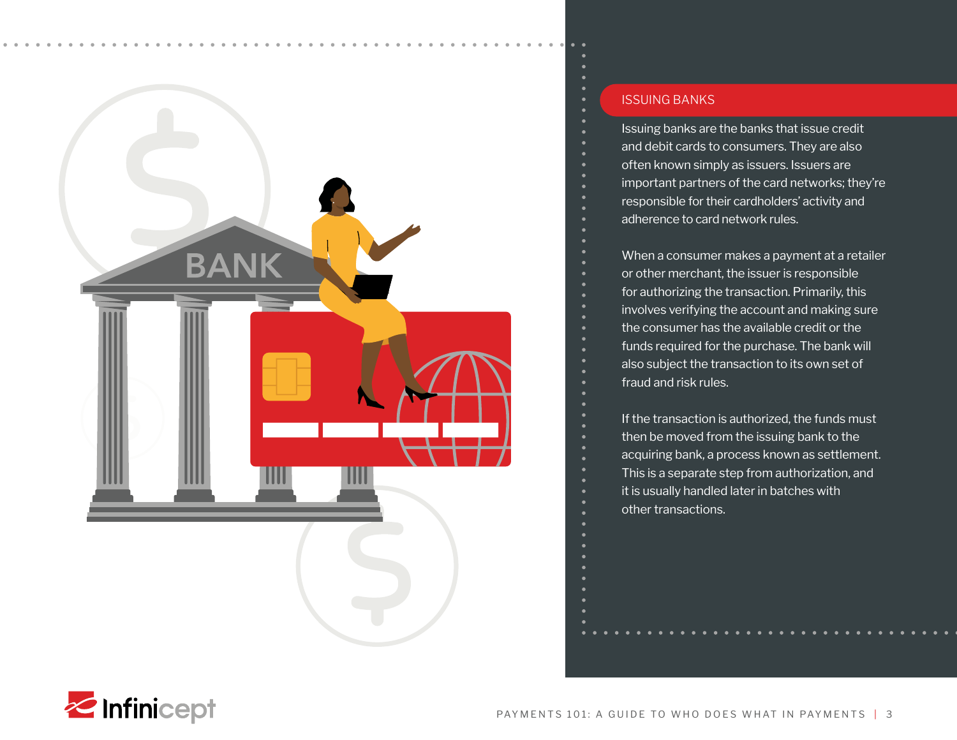

### ISSUING BANKS

Issuing banks are the banks that issue credit and debit cards to consumers. They are also often known simply as issuers. Issuers are important partners of the card networks; they're responsible for their cardholders' activity and adherence to card network rules.

When a consumer makes a payment at a retailer or other merchant, the issuer is responsible for authorizing the transaction. Primarily, this involves verifying the account and making sure the consumer has the available credit or the funds required for the purchase. The bank will also subject the transaction to its own set of fraud and risk rules.

If the transaction is authorized, the funds must then be moved from the issuing bank to the acquiring bank, a process known as settlement. This is a separate step from authorization, and it is usually handled later in batches with other transactions.

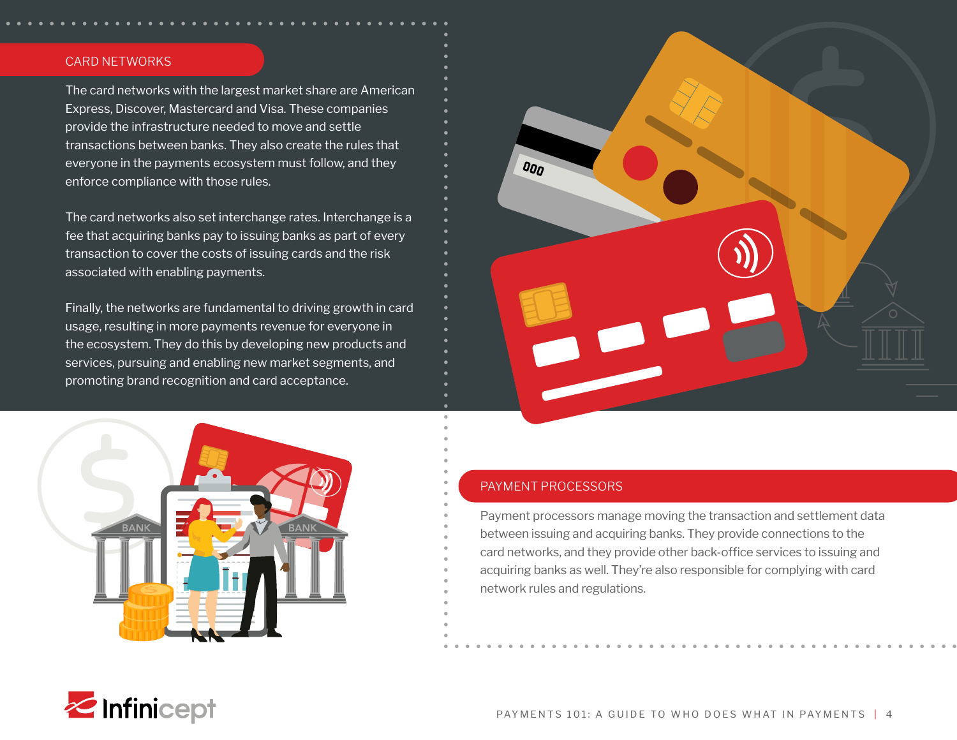#### CARD NETWORKS

The card networks with the largest market share are American Express, Discover, Mastercard and Visa. These companies provide the infrastructure needed to move and settle transactions between banks. They also create the rules that everyone in the payments ecosystem must follow, and they enforce compliance with those rules.

The card networks also set interchange rates. Interchange is a fee that acquiring banks pay to issuing banks as part of every transaction to cover the costs of issuing cards and the risk associated with enabling payments.

Finally, the networks are fundamental to driving growth in card usage, resulting in more payments revenue for everyone in the ecosystem. They do this by developing new products and services, pursuing and enabling new market segments, and promoting brand recognition and card acceptance.





#### PAYMENT PROCESSORS

Payment processors manage moving the transaction and settlement data between issuing and acquiring banks. They provide connections to the card networks, and they provide other back-office services to issuing and acquiring banks as well. They're also responsible for complying with card network rules and regulations.

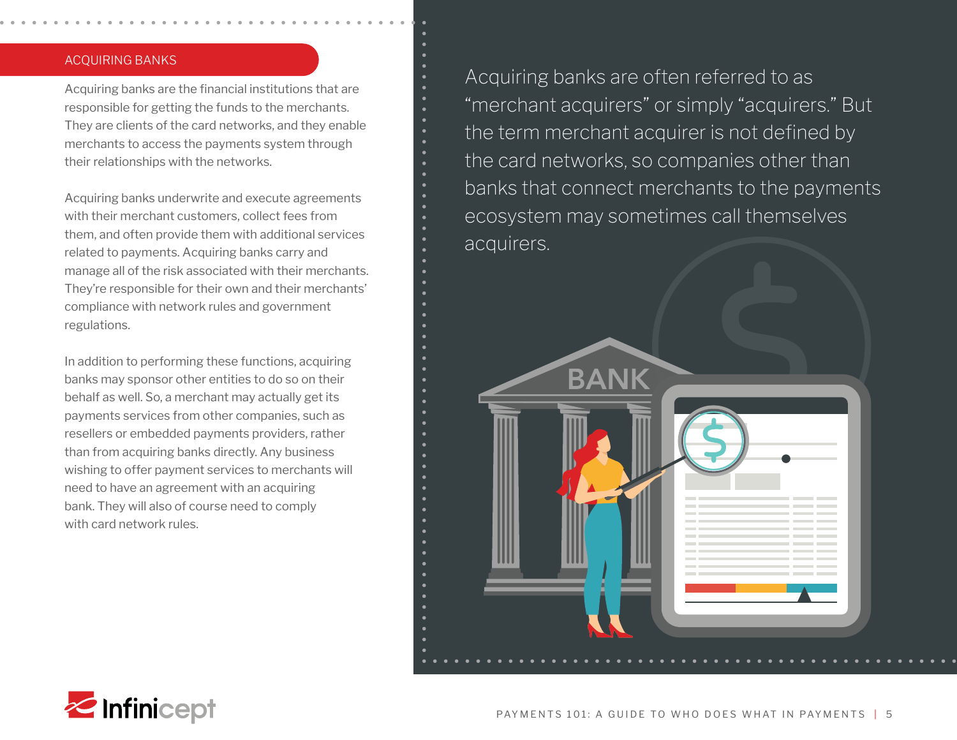#### ACQUIRING BANKS

Acquiring banks are the financial institutions that are responsible for getting the funds to the merchants. They are clients of the card networks, and they enable merchants to access the payments system through their relationships with the networks.

Acquiring banks underwrite and execute agreements with their merchant customers, collect fees from them, and often provide them with additional services related to payments. Acquiring banks carry and manage all of the risk associated with their merchants. They're responsible for their own and their merchants' compliance with network rules and government regulations.

In addition to performing these functions, acquiring banks may sponsor other entities to do so on their behalf as well. So, a merchant may actually get its payments services from other companies, such as resellers or embedded payments providers, rather than from acquiring banks directly. Any business wishing to offer payment services to merchants will need to have an agreement with an acquiring bank. They will also of course need to comply with card network rules.

Acquiring banks are often referred to as "merchant acquirers" or simply "acquirers." But the term merchant acquirer is not defined by the card networks, so companies other than banks that connect merchants to the payments ecosystem may sometimes call themselves acquirers.



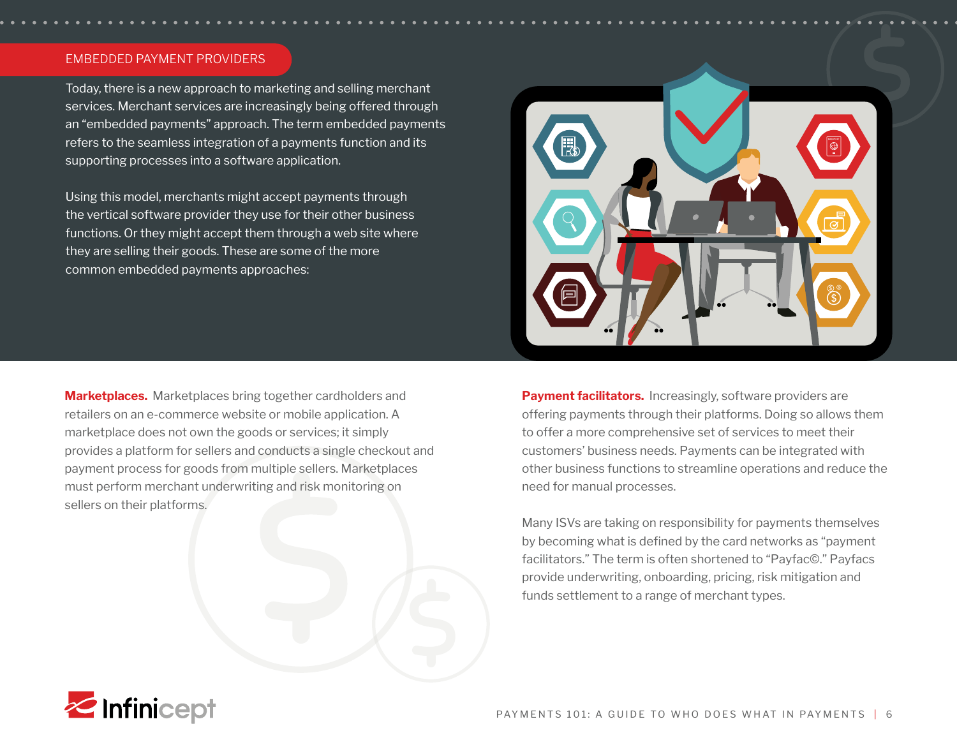#### EMBEDDED PAYMENT PROVIDERS

Today, there is a new approach to marketing and selling merchant services. Merchant services are increasingly being offered through an "embedded payments" approach. The term embedded payments refers to the seamless integration of a payments function and its supporting processes into a software application.

Using this model, merchants might accept payments through the vertical software provider they use for their other business functions. Or they might accept them through a web site where they are selling their goods. These are some of the more common embedded payments approaches:

**Marketplaces.** Marketplaces bring together cardholders and retailers on an e-commerce website or mobile application. A marketplace does not own the goods or services; it simply provides a platform for sellers and conducts a single checkout and payment process for goods from multiple sellers. Marketplaces must perform merchant underwriting and risk monitoring on sellers on their platforms.



**Payment facilitators.** Increasingly, software providers are offering payments through their platforms. Doing so allows them to offer a more comprehensive set of services to meet their customers' business needs. Payments can be integrated with other business functions to streamline operations and reduce the need for manual processes.

Many ISVs are taking on responsibility for payments themselves by becoming what is defined by the card networks as "payment facilitators." The term is often shortened to "Payfac©." Payfacs provide underwriting, onboarding, pricing, risk mitigation and funds settlement to a range of merchant types.

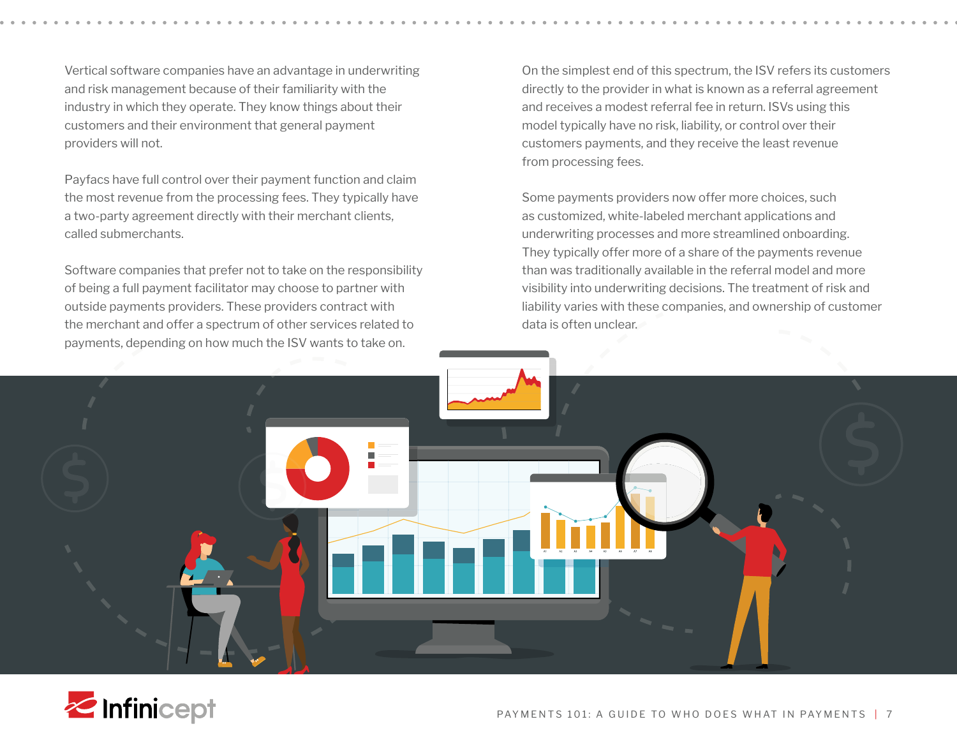Vertical software companies have an advantage in underwriting and risk management because of their familiarity with the industry in which they operate. They know things about their customers and their environment that general payment providers will not.

Payfacs have full control over their payment function and claim the most revenue from the processing fees. They typically have a two-party agreement directly with their merchant clients, called submerchants.

Software companies that prefer not to take on the responsibility of being a full payment facilitator may choose to partner with outside payments providers. These providers contract with the merchant and offer a spectrum of other services related to payments, depending on how much the ISV wants to take on.

On the simplest end of this spectrum, the ISV refers its customers directly to the provider in what is known as a referral agreement and receives a modest referral fee in return. ISVs using this model typically have no risk, liability, or control over their customers payments, and they receive the least revenue from processing fees.

Some payments providers now offer more choices, such as customized, white-labeled merchant applications and underwriting processes and more streamlined onboarding. They typically offer more of a share of the payments revenue than was traditionally available in the referral model and more visibility into underwriting decisions. The treatment of risk and liability varies with these companies, and ownership of customer data is often unclear.